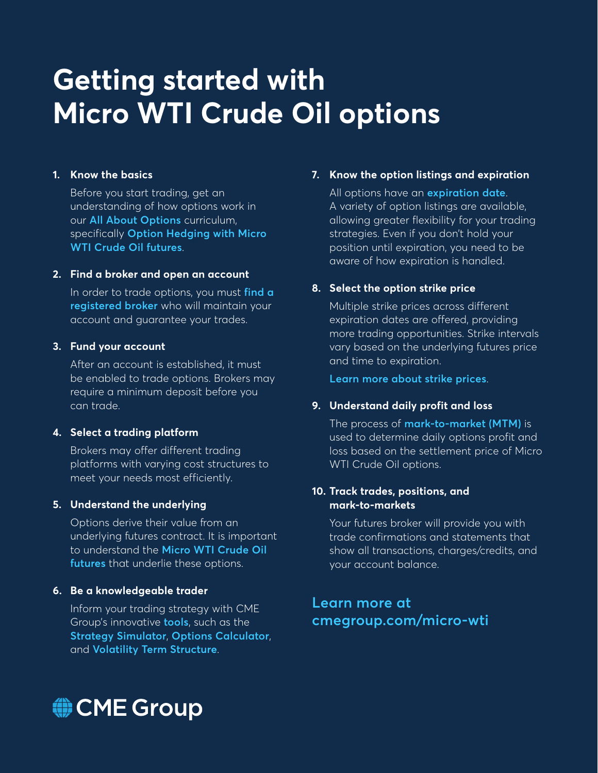# **Getting started with Micro WTI Crude Oil options**

#### **1. Know the basics**

Before you start trading, get an understanding of how options work in our **[All About Options](https://www.cmegroup.com/education/courses/curriculum-all-about-options.html)** curriculum, specifically **[Option Hedging with Micro](https://www.cmegroup.com/education/courses/understanding-micro-futures-contracts-at-cme-group/micro-crude-futures/option-hedging-with-micro-wti-crude-oil-futures.html)  [WTI Crude Oil futures](https://www.cmegroup.com/education/courses/understanding-micro-futures-contracts-at-cme-group/micro-crude-futures/option-hedging-with-micro-wti-crude-oil-futures.html)**.

#### **2. Find a broker and open an account**

In order to trade options, you must **[find a](https://www.cmegroup.com/activetrader/FindABroker)  [registered broker](https://www.cmegroup.com/activetrader/FindABroker)** who will maintain your account and guarantee your trades.

#### **3. Fund your account**

After an account is established, it must be enabled to trade options. Brokers may require a minimum deposit before you can trade.

#### **4. Select a trading platform**

Brokers may offer different trading platforms with varying cost structures to meet your needs most efficiently.

#### **5. Understand the underlying**

Options derive their value from an underlying futures contract. It is important to understand the **[Micro WTI Crude Oil](https://www.cmegroup.com/education/courses/understanding-micro-futures-contracts-at-cme-group/micro-crude-futures/micro-wti-crude-oil-futures-overview.html)  [futures](https://www.cmegroup.com/education/courses/understanding-micro-futures-contracts-at-cme-group/micro-crude-futures/micro-wti-crude-oil-futures-overview.html)** that underlie these options.

#### **6. Be a knowledgeable trader**

Inform your trading strategy with CME Group's innovative **[tools](https://www.cmegroup.com/tools-information/quikstrike/pricing-volatility-strategy-tools.html)**, such as the **[Strategy Simulator](https://www.cmegroup.com/tools-information/quikstrike/strategy-simulator.html?redirect=/campaigns/try-the-strategy-simulator.html)**, **[Options Calculator](https://www.cmegroup.com/tools-information/quikstrike/options-calculator.html)**, and **[Volatility Term Structure](https://www.cmegroup.com/tools-information/quikstrike/volatility-term-structure.html)**.

#### **7. Know the option listings and expiration**

All options have an **[expiration date](https://www.cmegroup.com/education/courses/introduction-to-options/what-is-expiration-date-expiry.html)**. A variety of option listings are available, allowing greater flexibility for your trading strategies. Even if you don't hold your position until expiration, you need to be aware of how expiration is handled.

## **8. Select the option strike price**

Multiple strike prices across different expiration dates are offered, providing more trading opportunities. Strike intervals vary based on the underlying futures price and time to expiration.

**[Learn more about strike prices](https://www.cmegroup.com/education/courses/introduction-to-options/what-is-exercise-price-strike.html)**.

## **9. Understand daily profit and loss**

The process of **[mark-to-market \(MTM\)](https://www.cmegroup.com/education/courses/introduction-to-futures/mark-to-market.html)** is used to determine daily options profit and loss based on the settlement price of Micro WTI Crude Oil options.

#### **10. Track trades, positions, and mark-to-markets**

Your futures broker will provide you with trade confirmations and statements that show all transactions, charges/credits, and your account balance.

## **Learn more at [cmegroup.com/micro-wti](https://www.cmegroup.com/micro-wti)**